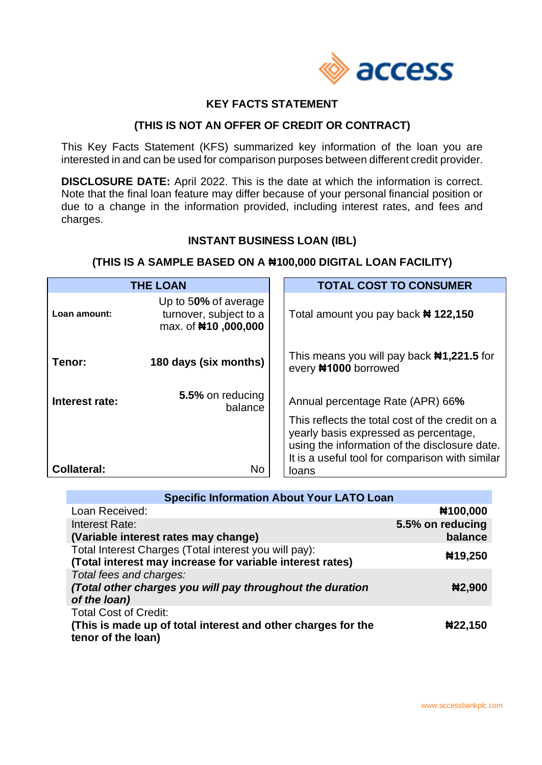

# **KEY FACTS STATEMENT**

### **(THIS IS NOT AN OFFER OF CREDIT OR CONTRACT)**

This Key Facts Statement (KFS) summarized key information of the loan you are interested in and can be used for comparison purposes between different credit provider.

**DISCLOSURE DATE:** April 2022. This is the date at which the information is correct. Note that the final loan feature may differ because of your personal financial position or due to a change in the information provided, including interest rates, and fees and charges.

# **INSTANT BUSINESS LOAN (IBL)**

### **(THIS IS A SAMPLE BASED ON A ₦100,000 DIGITAL LOAN FACILITY)**

| <b>THE LOAN</b>    |                                                                       | <b>TOTAL COST TO CONSUMER</b>                                                                                                                                                                                                    |
|--------------------|-----------------------------------------------------------------------|----------------------------------------------------------------------------------------------------------------------------------------------------------------------------------------------------------------------------------|
| Loan amount:       | Up to 50% of average<br>turnover, subject to a<br>max. of #10,000,000 | Total amount you pay back <b>#122,150</b>                                                                                                                                                                                        |
| Tenor:             | 180 days (six months)                                                 | This means you will pay back $\text{N1},221.5$ for<br>every #1000 borrowed                                                                                                                                                       |
| Interest rate:     | 5.5% on reducing<br>balance                                           | Annual percentage Rate (APR) 66%<br>This reflects the total cost of the credit on a<br>yearly basis expressed as percentage,<br>using the information of the disclosure date.<br>It is a useful tool for comparison with similar |
| <b>Collateral:</b> | No                                                                    | loans                                                                                                                                                                                                                            |

| <b>Specific Information About Your LATO Loan</b>                                                                   |                             |  |  |
|--------------------------------------------------------------------------------------------------------------------|-----------------------------|--|--|
| Loan Received:                                                                                                     | #100,000                    |  |  |
| Interest Rate:<br>(Variable interest rates may change)                                                             | 5.5% on reducing<br>balance |  |  |
|                                                                                                                    |                             |  |  |
| Total Interest Charges (Total interest you will pay):<br>(Total interest may increase for variable interest rates) | #19,250                     |  |  |
| Total fees and charges:                                                                                            |                             |  |  |
| (Total other charges you will pay throughout the duration                                                          | #2,900                      |  |  |
| of the loan)                                                                                                       |                             |  |  |
| <b>Total Cost of Credit:</b>                                                                                       |                             |  |  |
| (This is made up of total interest and other charges for the<br>tenor of the loan)                                 | #22,150                     |  |  |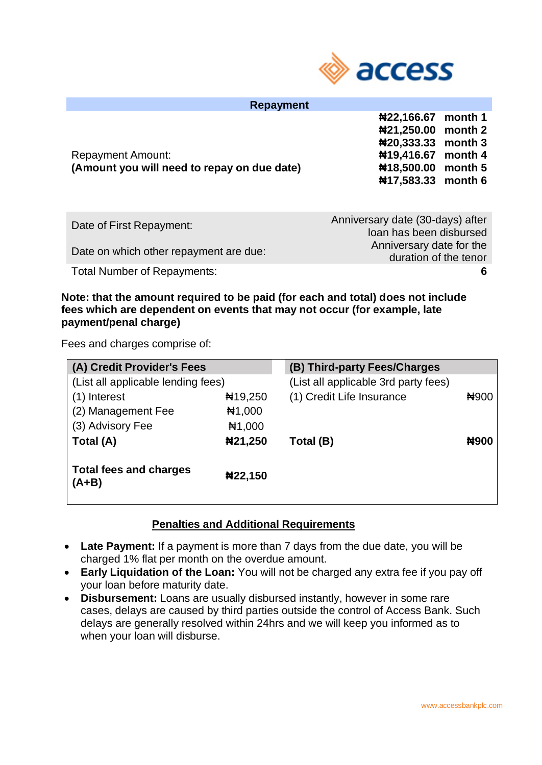

| Repayment                                   |                               |  |
|---------------------------------------------|-------------------------------|--|
|                                             | #22,166.67 month 1            |  |
|                                             | #21,250.00 month 2            |  |
|                                             | $\textbf{N}20,333.33$ month 3 |  |
| <b>Repayment Amount:</b>                    | #19,416.67 month 4            |  |
| (Amount you will need to repay on due date) | #18,500.00 month 5            |  |
|                                             | #17,583.33 month 6            |  |
|                                             |                               |  |

| Anniversary date (30-days) after |
|----------------------------------|
| loan has been disbursed          |
| Anniversary date for the         |
| duration of the tenor            |
| 6.                               |
|                                  |

**Note: that the amount required to be paid (for each and total) does not include fees which are dependent on events that may not occur (for example, late payment/penal charge)**

Fees and charges comprise of:

| (A) Credit Provider's Fees               |                  | (B) Third-party Fees/Charges         |             |
|------------------------------------------|------------------|--------------------------------------|-------------|
| (List all applicable lending fees)       |                  | (List all applicable 3rd party fees) |             |
| (1) Interest                             | $\text{H}19,250$ | (1) Credit Life Insurance            | <b>N900</b> |
| (2) Management Fee                       | H1,000           |                                      |             |
| (3) Advisory Fee                         | H1,000           |                                      |             |
| Total (A)                                | #21,250          | Total (B)                            | #900        |
| <b>Total fees and charges</b><br>$(A+B)$ | #22,150          |                                      |             |

#### **Penalties and Additional Requirements**

- **Late Payment:** If a payment is more than 7 days from the due date, you will be charged 1% flat per month on the overdue amount.
- **Early Liquidation of the Loan:** You will not be charged any extra fee if you pay off your loan before maturity date.
- **Disbursement:** Loans are usually disbursed instantly, however in some rare cases, delays are caused by third parties outside the control of Access Bank. Such delays are generally resolved within 24hrs and we will keep you informed as to when your loan will disburse.